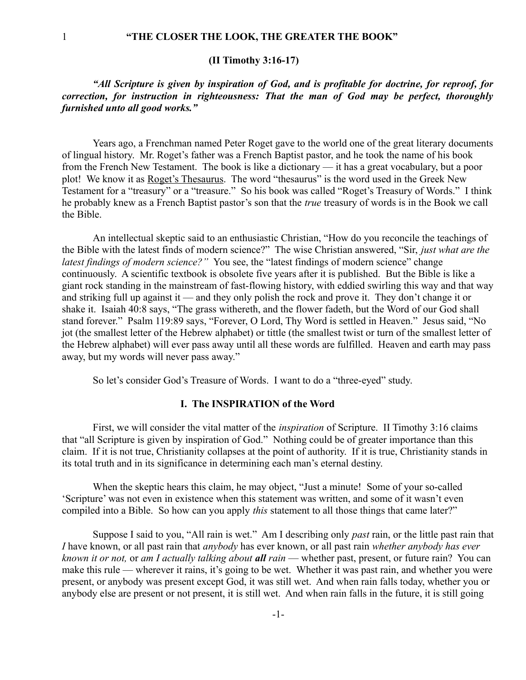### **(II Timothy 3:16-17)**

*"All Scripture is given by inspiration of God, and is profitable for doctrine, for reproof, for correction, for instruction in righteousness: That the man of God may be perfect, thoroughly furnished unto all good works."*

Years ago, a Frenchman named Peter Roget gave to the world one of the great literary documents of lingual history. Mr. Roget's father was a French Baptist pastor, and he took the name of his book from the French New Testament. The book is like a dictionary — it has a great vocabulary, but a poor plot! We know it as Roget's Thesaurus. The word "thesaurus" is the word used in the Greek New Testament for a "treasury" or a "treasure." So his book was called "Roget's Treasury of Words." I think he probably knew as a French Baptist pastor's son that the *true* treasury of words is in the Book we call the Bible.

An intellectual skeptic said to an enthusiastic Christian, "How do you reconcile the teachings of the Bible with the latest finds of modern science?" The wise Christian answered, "Sir, *just what are the latest findings of modern science?"* You see, the "latest findings of modern science" change continuously. A scientific textbook is obsolete five years after it is published. But the Bible is like a giant rock standing in the mainstream of fast-flowing history, with eddied swirling this way and that way and striking full up against it — and they only polish the rock and prove it. They don't change it or shake it. Isaiah 40:8 says, "The grass withereth, and the flower fadeth, but the Word of our God shall stand forever." Psalm 119:89 says, "Forever, O Lord, Thy Word is settled in Heaven." Jesus said, "No jot (the smallest letter of the Hebrew alphabet) or tittle (the smallest twist or turn of the smallest letter of the Hebrew alphabet) will ever pass away until all these words are fulfilled. Heaven and earth may pass away, but my words will never pass away."

So let's consider God's Treasure of Words. I want to do a "three-eyed" study.

#### **I. The INSPIRATION of the Word**

First, we will consider the vital matter of the *inspiration* of Scripture. II Timothy 3:16 claims that "all Scripture is given by inspiration of God." Nothing could be of greater importance than this claim. If it is not true, Christianity collapses at the point of authority. If it is true, Christianity stands in its total truth and in its significance in determining each man's eternal destiny.

When the skeptic hears this claim, he may object, "Just a minute! Some of your so-called 'Scripture' was not even in existence when this statement was written, and some of it wasn't even compiled into a Bible. So how can you apply *this* statement to all those things that came later?"

Suppose I said to you, "All rain is wet." Am I describing only *past* rain, or the little past rain that *I* have known, or all past rain that *anybody* has ever known, or all past rain *whether anybody has ever known it or not,* or *am I actually talking about all rain* — whether past, present, or future rain? You can make this rule — wherever it rains, it's going to be wet. Whether it was past rain, and whether you were present, or anybody was present except God, it was still wet. And when rain falls today, whether you or anybody else are present or not present, it is still wet. And when rain falls in the future, it is still going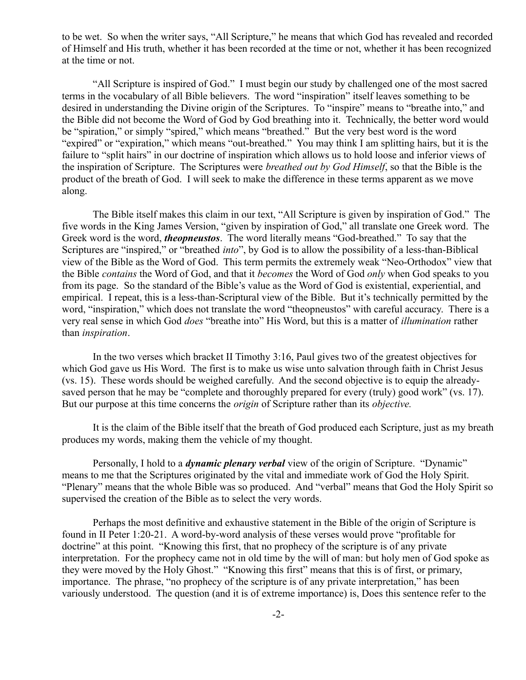to be wet. So when the writer says, "All Scripture," he means that which God has revealed and recorded of Himself and His truth, whether it has been recorded at the time or not, whether it has been recognized at the time or not.

"All Scripture is inspired of God." I must begin our study by challenged one of the most sacred terms in the vocabulary of all Bible believers. The word "inspiration" itself leaves something to be desired in understanding the Divine origin of the Scriptures. To "inspire" means to "breathe into," and the Bible did not become the Word of God by God breathing into it. Technically, the better word would be "spiration," or simply "spired," which means "breathed." But the very best word is the word "expired" or "expiration," which means "out-breathed." You may think I am splitting hairs, but it is the failure to "split hairs" in our doctrine of inspiration which allows us to hold loose and inferior views of the inspiration of Scripture. The Scriptures were *breathed out by God Himself*, so that the Bible is the product of the breath of God. I will seek to make the difference in these terms apparent as we move along.

The Bible itself makes this claim in our text, "All Scripture is given by inspiration of God." The five words in the King James Version, "given by inspiration of God," all translate one Greek word. The Greek word is the word, *theopneustos*. The word literally means "God-breathed." To say that the Scriptures are "inspired," or "breathed *into*", by God is to allow the possibility of a less-than-Biblical view of the Bible as the Word of God. This term permits the extremely weak "Neo-Orthodox" view that the Bible *contains* the Word of God, and that it *becomes* the Word of God *only* when God speaks to you from its page. So the standard of the Bible's value as the Word of God is existential, experiential, and empirical. I repeat, this is a less-than-Scriptural view of the Bible. But it's technically permitted by the word, "inspiration," which does not translate the word "theopneustos" with careful accuracy. There is a very real sense in which God *does* "breathe into" His Word, but this is a matter of *illumination* rather than *inspiration*.

In the two verses which bracket II Timothy 3:16, Paul gives two of the greatest objectives for which God gave us His Word. The first is to make us wise unto salvation through faith in Christ Jesus (vs. 15). These words should be weighed carefully. And the second objective is to equip the alreadysaved person that he may be "complete and thoroughly prepared for every (truly) good work" (vs. 17). But our purpose at this time concerns the *origin* of Scripture rather than its *objective.*

It is the claim of the Bible itself that the breath of God produced each Scripture, just as my breath produces my words, making them the vehicle of my thought.

Personally, I hold to a *dynamic plenary verbal* view of the origin of Scripture. "Dynamic" means to me that the Scriptures originated by the vital and immediate work of God the Holy Spirit. "Plenary" means that the whole Bible was so produced. And "verbal" means that God the Holy Spirit so supervised the creation of the Bible as to select the very words.

Perhaps the most definitive and exhaustive statement in the Bible of the origin of Scripture is found in II Peter 1:20-21. A word-by-word analysis of these verses would prove "profitable for doctrine" at this point. "Knowing this first, that no prophecy of the scripture is of any private interpretation. For the prophecy came not in old time by the will of man: but holy men of God spoke as they were moved by the Holy Ghost." "Knowing this first" means that this is of first, or primary, importance. The phrase, "no prophecy of the scripture is of any private interpretation," has been variously understood. The question (and it is of extreme importance) is, Does this sentence refer to the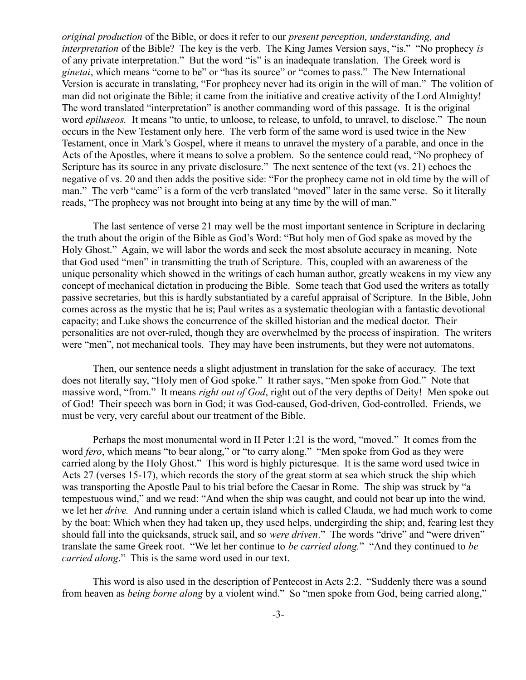*original production* of the Bible, or does it refer to our *present perception, understanding, and interpretation* of the Bible? The key is the verb. The King James Version says, "is." "No prophecy *is* of any private interpretation." But the word "is" is an inadequate translation. The Greek word is *ginetai*, which means "come to be" or "has its source" or "comes to pass." The New International Version is accurate in translating, "For prophecy never had its origin in the will of man." The volition of man did not originate the Bible; it came from the initiative and creative activity of the Lord Almighty! The word translated "interpretation" is another commanding word of this passage. It is the original word *epiluseos.* It means "to untie, to unloose, to release, to unfold, to unravel, to disclose." The noun occurs in the New Testament only here. The verb form of the same word is used twice in the New Testament, once in Mark's Gospel, where it means to unravel the mystery of a parable, and once in the Acts of the Apostles, where it means to solve a problem. So the sentence could read, "No prophecy of Scripture has its source in any private disclosure." The next sentence of the text (vs. 21) echoes the negative of vs. 20 and then adds the positive side: "For the prophecy came not in old time by the will of man." The verb "came" is a form of the verb translated "moved" later in the same verse. So it literally reads, "The prophecy was not brought into being at any time by the will of man."

The last sentence of verse 21 may well be the most important sentence in Scripture in declaring the truth about the origin of the Bible as God's Word: "But holy men of God spake as moved by the Holy Ghost." Again, we will labor the words and seek the most absolute accuracy in meaning. Note that God used "men" in transmitting the truth of Scripture. This, coupled with an awareness of the unique personality which showed in the writings of each human author, greatly weakens in my view any concept of mechanical dictation in producing the Bible. Some teach that God used the writers as totally passive secretaries, but this is hardly substantiated by a careful appraisal of Scripture. In the Bible, John comes across as the mystic that he is; Paul writes as a systematic theologian with a fantastic devotional capacity; and Luke shows the concurrence of the skilled historian and the medical doctor. Their personalities are not over-ruled, though they are overwhelmed by the process of inspiration. The writers were "men", not mechanical tools. They may have been instruments, but they were not automatons.

Then, our sentence needs a slight adjustment in translation for the sake of accuracy. The text does not literally say, "Holy men of God spoke." It rather says, "Men spoke from God." Note that massive word, "from." It means *right out of God*, right out of the very depths of Deity! Men spoke out of God! Their speech was born in God; it was God-caused, God-driven, God-controlled. Friends, we must be very, very careful about our treatment of the Bible.

Perhaps the most monumental word in II Peter 1:21 is the word, "moved." It comes from the word *fero*, which means "to bear along," or "to carry along." "Men spoke from God as they were carried along by the Holy Ghost." This word is highly picturesque. It is the same word used twice in Acts 27 (verses 15-17), which records the story of the great storm at sea which struck the ship which was transporting the Apostle Paul to his trial before the Caesar in Rome. The ship was struck by "a tempestuous wind," and we read: "And when the ship was caught, and could not bear up into the wind, we let her *drive.* And running under a certain island which is called Clauda, we had much work to come by the boat: Which when they had taken up, they used helps, undergirding the ship; and, fearing lest they should fall into the quicksands, struck sail, and so *were driven*." The words "drive" and "were driven" translate the same Greek root. "We let her continue to *be carried along.*" "And they continued to *be carried along*." This is the same word used in our text.

This word is also used in the description of Pentecost in Acts 2:2. "Suddenly there was a sound from heaven as *being borne along* by a violent wind." So "men spoke from God, being carried along,"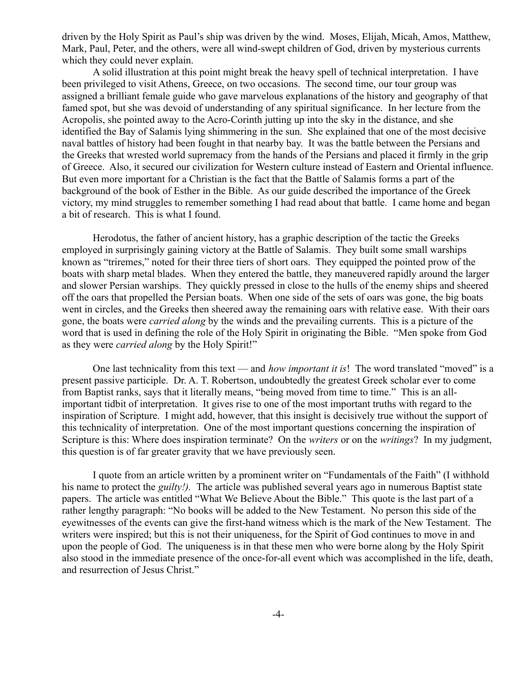driven by the Holy Spirit as Paul's ship was driven by the wind. Moses, Elijah, Micah, Amos, Matthew, Mark, Paul, Peter, and the others, were all wind-swept children of God, driven by mysterious currents which they could never explain.

A solid illustration at this point might break the heavy spell of technical interpretation. I have been privileged to visit Athens, Greece, on two occasions. The second time, our tour group was assigned a brilliant female guide who gave marvelous explanations of the history and geography of that famed spot, but she was devoid of understanding of any spiritual significance. In her lecture from the Acropolis, she pointed away to the Acro-Corinth jutting up into the sky in the distance, and she identified the Bay of Salamis lying shimmering in the sun. She explained that one of the most decisive naval battles of history had been fought in that nearby bay. It was the battle between the Persians and the Greeks that wrested world supremacy from the hands of the Persians and placed it firmly in the grip of Greece. Also, it secured our civilization for Western culture instead of Eastern and Oriental influence. But even more important for a Christian is the fact that the Battle of Salamis forms a part of the background of the book of Esther in the Bible. As our guide described the importance of the Greek victory, my mind struggles to remember something I had read about that battle. I came home and began a bit of research. This is what I found.

Herodotus, the father of ancient history, has a graphic description of the tactic the Greeks employed in surprisingly gaining victory at the Battle of Salamis. They built some small warships known as "triremes," noted for their three tiers of short oars. They equipped the pointed prow of the boats with sharp metal blades. When they entered the battle, they maneuvered rapidly around the larger and slower Persian warships. They quickly pressed in close to the hulls of the enemy ships and sheered off the oars that propelled the Persian boats. When one side of the sets of oars was gone, the big boats went in circles, and the Greeks then sheered away the remaining oars with relative ease. With their oars gone, the boats were *carried along* by the winds and the prevailing currents. This is a picture of the word that is used in defining the role of the Holy Spirit in originating the Bible. "Men spoke from God as they were *carried along* by the Holy Spirit!"

One last technicality from this text — and *how important it is*! The word translated "moved" is a present passive participle. Dr. A. T. Robertson, undoubtedly the greatest Greek scholar ever to come from Baptist ranks, says that it literally means, "being moved from time to time." This is an allimportant tidbit of interpretation. It gives rise to one of the most important truths with regard to the inspiration of Scripture. I might add, however, that this insight is decisively true without the support of this technicality of interpretation. One of the most important questions concerning the inspiration of Scripture is this: Where does inspiration terminate? On the *writers* or on the *writings*? In my judgment, this question is of far greater gravity that we have previously seen.

I quote from an article written by a prominent writer on "Fundamentals of the Faith" (I withhold his name to protect the *guilty!).* The article was published several years ago in numerous Baptist state papers. The article was entitled "What We Believe About the Bible." This quote is the last part of a rather lengthy paragraph: "No books will be added to the New Testament. No person this side of the eyewitnesses of the events can give the first-hand witness which is the mark of the New Testament. The writers were inspired; but this is not their uniqueness, for the Spirit of God continues to move in and upon the people of God. The uniqueness is in that these men who were borne along by the Holy Spirit also stood in the immediate presence of the once-for-all event which was accomplished in the life, death, and resurrection of Jesus Christ."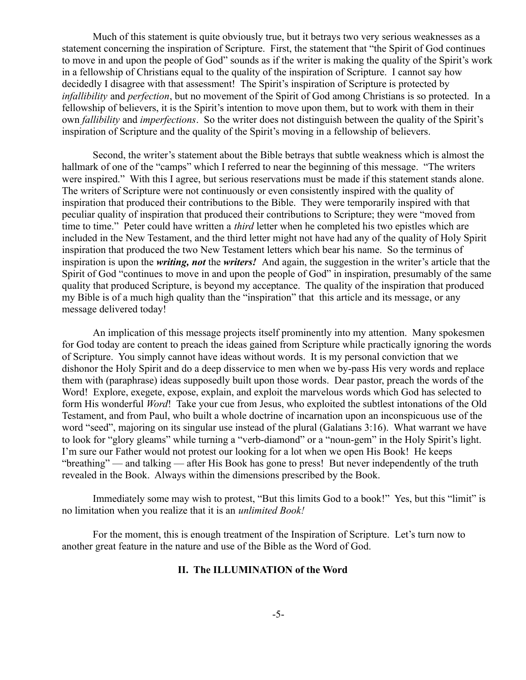Much of this statement is quite obviously true, but it betrays two very serious weaknesses as a statement concerning the inspiration of Scripture. First, the statement that "the Spirit of God continues to move in and upon the people of God" sounds as if the writer is making the quality of the Spirit's work in a fellowship of Christians equal to the quality of the inspiration of Scripture. I cannot say how decidedly I disagree with that assessment! The Spirit's inspiration of Scripture is protected by *infallibility* and *perfection*, but no movement of the Spirit of God among Christians is so protected. In a fellowship of believers, it is the Spirit's intention to move upon them, but to work with them in their own *fallibility* and *imperfections*. So the writer does not distinguish between the quality of the Spirit's inspiration of Scripture and the quality of the Spirit's moving in a fellowship of believers.

Second, the writer's statement about the Bible betrays that subtle weakness which is almost the hallmark of one of the "camps" which I referred to near the beginning of this message. "The writers were inspired." With this I agree, but serious reservations must be made if this statement stands alone. The writers of Scripture were not continuously or even consistently inspired with the quality of inspiration that produced their contributions to the Bible. They were temporarily inspired with that peculiar quality of inspiration that produced their contributions to Scripture; they were "moved from time to time." Peter could have written a *third* letter when he completed his two epistles which are included in the New Testament, and the third letter might not have had any of the quality of Holy Spirit inspiration that produced the two New Testament letters which bear his name. So the terminus of inspiration is upon the *writing, not* the *writers!* And again, the suggestion in the writer's article that the Spirit of God "continues to move in and upon the people of God" in inspiration, presumably of the same quality that produced Scripture, is beyond my acceptance. The quality of the inspiration that produced my Bible is of a much high quality than the "inspiration" that this article and its message, or any message delivered today!

An implication of this message projects itself prominently into my attention. Many spokesmen for God today are content to preach the ideas gained from Scripture while practically ignoring the words of Scripture. You simply cannot have ideas without words. It is my personal conviction that we dishonor the Holy Spirit and do a deep disservice to men when we by-pass His very words and replace them with (paraphrase) ideas supposedly built upon those words. Dear pastor, preach the words of the Word! Explore, exegete, expose, explain, and exploit the marvelous words which God has selected to form His wonderful *Word*! Take your cue from Jesus, who exploited the subtlest intonations of the Old Testament, and from Paul, who built a whole doctrine of incarnation upon an inconspicuous use of the word "seed", majoring on its singular use instead of the plural (Galatians 3:16). What warrant we have to look for "glory gleams" while turning a "verb-diamond" or a "noun-gem" in the Holy Spirit's light. I'm sure our Father would not protest our looking for a lot when we open His Book! He keeps "breathing" — and talking — after His Book has gone to press! But never independently of the truth revealed in the Book. Always within the dimensions prescribed by the Book.

Immediately some may wish to protest, "But this limits God to a book!" Yes, but this "limit" is no limitation when you realize that it is an *unlimited Book!*

For the moment, this is enough treatment of the Inspiration of Scripture. Let's turn now to another great feature in the nature and use of the Bible as the Word of God.

### **II. The ILLUMINATION of the Word**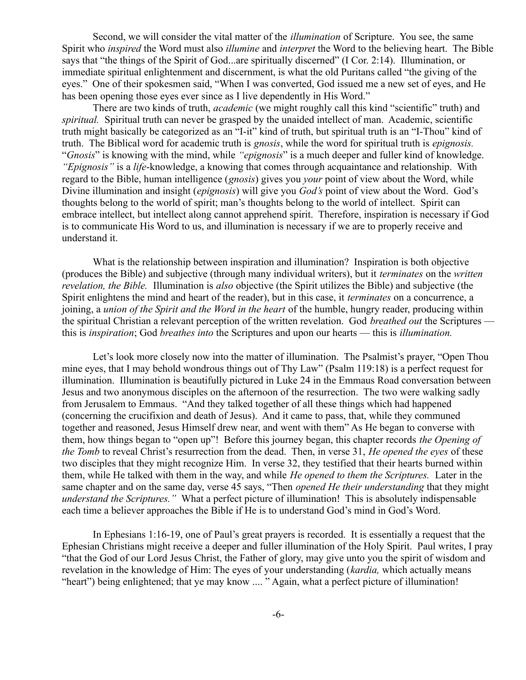Second, we will consider the vital matter of the *illumination* of Scripture. You see, the same Spirit who *inspired* the Word must also *illumine* and *interpret* the Word to the believing heart. The Bible says that "the things of the Spirit of God...are spiritually discerned" (I Cor. 2:14). Illumination, or immediate spiritual enlightenment and discernment, is what the old Puritans called "the giving of the eyes." One of their spokesmen said, "When I was converted, God issued me a new set of eyes, and He has been opening those eyes ever since as I live dependently in His Word."

There are two kinds of truth, *academic* (we might roughly call this kind "scientific" truth) and *spiritual.* Spiritual truth can never be grasped by the unaided intellect of man. Academic, scientific truth might basically be categorized as an "I-it" kind of truth, but spiritual truth is an "I-Thou" kind of truth. The Biblical word for academic truth is *gnosis*, while the word for spiritual truth is *epignosis.* "*Gnosis*" is knowing with the mind, while *"epignosis*" is a much deeper and fuller kind of knowledge. *"Epignosis"* is a *life*-knowledge, a knowing that comes through acquaintance and relationship. With regard to the Bible, human intelligence (*gnosis*) gives you *your* point of view about the Word, while Divine illumination and insight (*epignosis*) will give you *God's* point of view about the Word. God's thoughts belong to the world of spirit; man's thoughts belong to the world of intellect. Spirit can embrace intellect, but intellect along cannot apprehend spirit. Therefore, inspiration is necessary if God is to communicate His Word to us, and illumination is necessary if we are to properly receive and understand it.

What is the relationship between inspiration and illumination? Inspiration is both objective (produces the Bible) and subjective (through many individual writers), but it *terminates* on the *written revelation, the Bible.* Illumination is *also* objective (the Spirit utilizes the Bible) and subjective (the Spirit enlightens the mind and heart of the reader), but in this case, it *terminates* on a concurrence, a joining, a *union of the Spirit and the Word in the heart* of the humble, hungry reader, producing within the spiritual Christian a relevant perception of the written revelation. God *breathed out* the Scriptures this is *inspiration*; God *breathes into* the Scriptures and upon our hearts — this is *illumination.*

Let's look more closely now into the matter of illumination. The Psalmist's prayer, "Open Thou mine eyes, that I may behold wondrous things out of Thy Law" (Psalm 119:18) is a perfect request for illumination. Illumination is beautifully pictured in Luke 24 in the Emmaus Road conversation between Jesus and two anonymous disciples on the afternoon of the resurrection. The two were walking sadly from Jerusalem to Emmaus. "And they talked together of all these things which had happened (concerning the crucifixion and death of Jesus). And it came to pass, that, while they communed together and reasoned, Jesus Himself drew near, and went with them" As He began to converse with them, how things began to "open up"! Before this journey began, this chapter records *the Opening of the Tomb* to reveal Christ's resurrection from the dead. Then, in verse 31, *He opened the eyes* of these two disciples that they might recognize Him. In verse 32, they testified that their hearts burned within them, while He talked with them in the way, and while *He opened to them the Scriptures.* Later in the same chapter and on the same day, verse 45 says, "Then *opened He their understanding* that they might *understand the Scriptures."* What a perfect picture of illumination! This is absolutely indispensable each time a believer approaches the Bible if He is to understand God's mind in God's Word.

In Ephesians 1:16-19, one of Paul's great prayers is recorded. It is essentially a request that the Ephesian Christians might receive a deeper and fuller illumination of the Holy Spirit. Paul writes, I pray "that the God of our Lord Jesus Christ, the Father of glory, may give unto you the spirit of wisdom and revelation in the knowledge of Him: The eyes of your understanding (*kardia,* which actually means "heart") being enlightened; that ye may know .... " Again, what a perfect picture of illumination!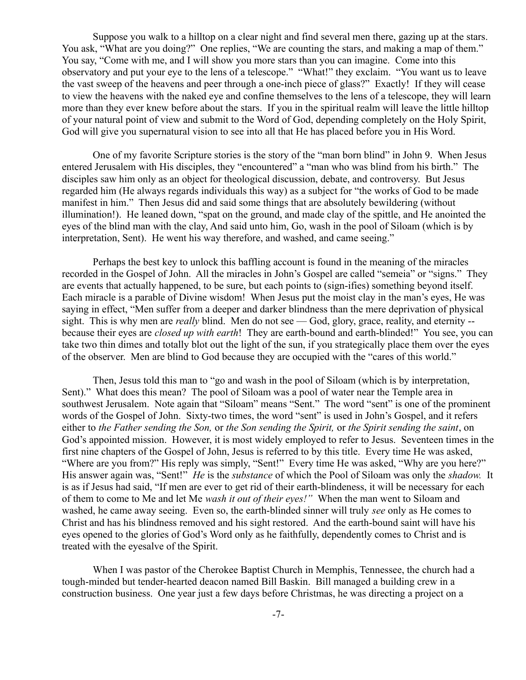Suppose you walk to a hilltop on a clear night and find several men there, gazing up at the stars. You ask, "What are you doing?" One replies, "We are counting the stars, and making a map of them." You say, "Come with me, and I will show you more stars than you can imagine. Come into this observatory and put your eye to the lens of a telescope." "What!" they exclaim. "You want us to leave the vast sweep of the heavens and peer through a one-inch piece of glass?" Exactly! If they will cease to view the heavens with the naked eye and confine themselves to the lens of a telescope, they will learn more than they ever knew before about the stars. If you in the spiritual realm will leave the little hilltop of your natural point of view and submit to the Word of God, depending completely on the Holy Spirit, God will give you supernatural vision to see into all that He has placed before you in His Word.

One of my favorite Scripture stories is the story of the "man born blind" in John 9. When Jesus entered Jerusalem with His disciples, they "encountered" a "man who was blind from his birth." The disciples saw him only as an object for theological discussion, debate, and controversy. But Jesus regarded him (He always regards individuals this way) as a subject for "the works of God to be made manifest in him." Then Jesus did and said some things that are absolutely bewildering (without illumination!). He leaned down, "spat on the ground, and made clay of the spittle, and He anointed the eyes of the blind man with the clay, And said unto him, Go, wash in the pool of Siloam (which is by interpretation, Sent). He went his way therefore, and washed, and came seeing."

Perhaps the best key to unlock this baffling account is found in the meaning of the miracles recorded in the Gospel of John. All the miracles in John's Gospel are called "semeia" or "signs." They are events that actually happened, to be sure, but each points to (sign-ifies) something beyond itself. Each miracle is a parable of Divine wisdom! When Jesus put the moist clay in the man's eyes, He was saying in effect, "Men suffer from a deeper and darker blindness than the mere deprivation of physical sight. This is why men are *really* blind. Men do not see — God, glory, grace, reality, and eternity -because their eyes are *closed up with earth*! They are earth-bound and earth-blinded!" You see, you can take two thin dimes and totally blot out the light of the sun, if you strategically place them over the eyes of the observer. Men are blind to God because they are occupied with the "cares of this world."

Then, Jesus told this man to "go and wash in the pool of Siloam (which is by interpretation, Sent)." What does this mean? The pool of Siloam was a pool of water near the Temple area in southwest Jerusalem. Note again that "Siloam" means "Sent." The word "sent" is one of the prominent words of the Gospel of John. Sixty-two times, the word "sent" is used in John's Gospel, and it refers either to *the Father sending the Son,* or *the Son sending the Spirit,* or *the Spirit sending the saint*, on God's appointed mission. However, it is most widely employed to refer to Jesus. Seventeen times in the first nine chapters of the Gospel of John, Jesus is referred to by this title. Every time He was asked, "Where are you from?" His reply was simply, "Sent!" Every time He was asked, "Why are you here?" His answer again was, "Sent!" *He* is the *substance* of which the Pool of Siloam was only the *shadow.* It is as if Jesus had said, "If men are ever to get rid of their earth-blindeness, it will be necessary for each of them to come to Me and let Me *wash it out of their eyes!"* When the man went to Siloam and washed, he came away seeing. Even so, the earth-blinded sinner will truly *see* only as He comes to Christ and has his blindness removed and his sight restored. And the earth-bound saint will have his eyes opened to the glories of God's Word only as he faithfully, dependently comes to Christ and is treated with the eyesalve of the Spirit.

When I was pastor of the Cherokee Baptist Church in Memphis, Tennessee, the church had a tough-minded but tender-hearted deacon named Bill Baskin. Bill managed a building crew in a construction business. One year just a few days before Christmas, he was directing a project on a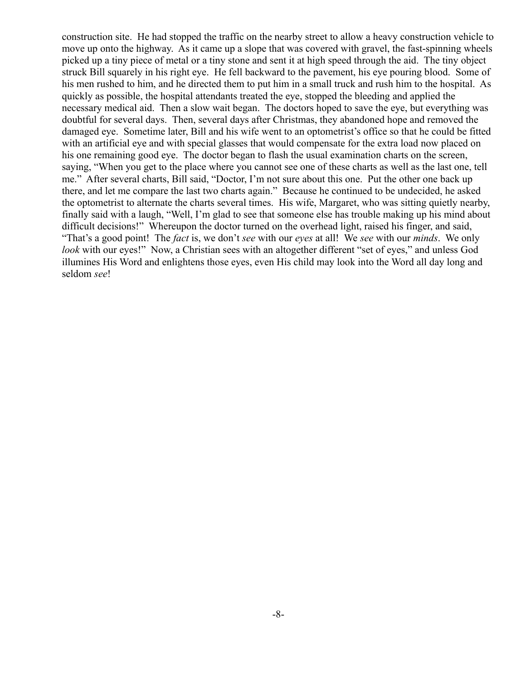construction site. He had stopped the traffic on the nearby street to allow a heavy construction vehicle to move up onto the highway. As it came up a slope that was covered with gravel, the fast-spinning wheels picked up a tiny piece of metal or a tiny stone and sent it at high speed through the aid. The tiny object struck Bill squarely in his right eye. He fell backward to the pavement, his eye pouring blood. Some of his men rushed to him, and he directed them to put him in a small truck and rush him to the hospital. As quickly as possible, the hospital attendants treated the eye, stopped the bleeding and applied the necessary medical aid. Then a slow wait began. The doctors hoped to save the eye, but everything was doubtful for several days. Then, several days after Christmas, they abandoned hope and removed the damaged eye. Sometime later, Bill and his wife went to an optometrist's office so that he could be fitted with an artificial eye and with special glasses that would compensate for the extra load now placed on his one remaining good eye. The doctor began to flash the usual examination charts on the screen, saying, "When you get to the place where you cannot see one of these charts as well as the last one, tell me." After several charts, Bill said, "Doctor, I'm not sure about this one. Put the other one back up there, and let me compare the last two charts again." Because he continued to be undecided, he asked the optometrist to alternate the charts several times. His wife, Margaret, who was sitting quietly nearby, finally said with a laugh, "Well, I'm glad to see that someone else has trouble making up his mind about difficult decisions!" Whereupon the doctor turned on the overhead light, raised his finger, and said, "That's a good point! The *fact* is, we don't *see* with our *eyes* at all! We *see* with our *minds*. We only *look* with our eyes!" Now, a Christian sees with an altogether different "set of eyes," and unless God illumines His Word and enlightens those eyes, even His child may look into the Word all day long and seldom *see*!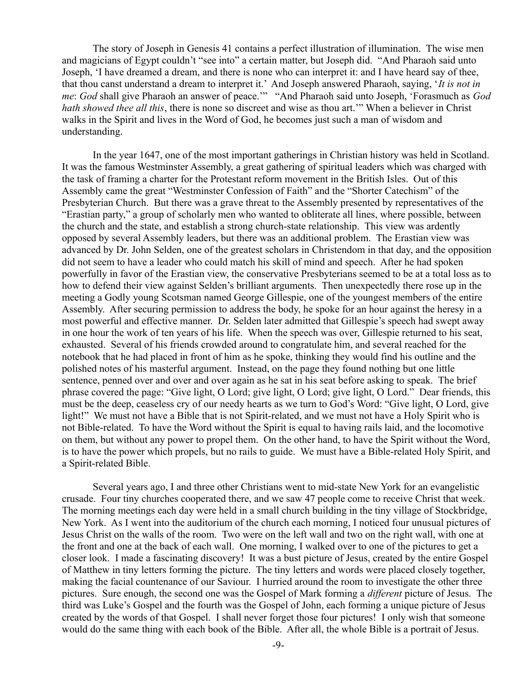The story of Joseph in Genesis 41 contains a perfect illustration of illumination. The wise men and magicians of Egypt couldn't "see into" a certain matter, but Joseph did. "And Pharaoh said unto Joseph, 'I have dreamed a dream, and there is none who can interpret it: and I have heard say of thee, that thou canst understand a dream to interpret it.' And Joseph answered Pharaoh, saying, '*It is not in me*: *God* shall give Pharaoh an answer of peace.'" "And Pharaoh said unto Joseph, 'Forasmuch as *God hath showed thee all this*, there is none so discreet and wise as thou art.'" When a believer in Christ walks in the Spirit and lives in the Word of God, he becomes just such a man of wisdom and understanding.

In the year 1647, one of the most important gatherings in Christian history was held in Scotland. It was the famous Westminster Assembly, a great gathering of spiritual leaders which was charged with the task of framing a charter for the Protestant reform movement in the British Isles. Out of this Assembly came the great "Westminster Confession of Faith" and the "Shorter Catechism" of the Presbyterian Church. But there was a grave threat to the Assembly presented by representatives of the "Erastian party," a group of scholarly men who wanted to obliterate all lines, where possible, between the church and the state, and establish a strong church-state relationship. This view was ardently opposed by several Assembly leaders, but there was an additional problem. The Erastian view was advanced by Dr. John Selden, one of the greatest scholars in Christendom in that day, and the opposition did not seem to have a leader who could match his skill of mind and speech. After he had spoken powerfully in favor of the Erastian view, the conservative Presbyterians seemed to be at a total loss as to how to defend their view against Selden's brilliant arguments. Then unexpectedly there rose up in the meeting a Godly young Scotsman named George Gillespie, one of the youngest members of the entire Assembly. After securing permission to address the body, he spoke for an hour against the heresy in a most powerful and effective manner. Dr. Selden later admitted that Gillespie's speech had swept away in one hour the work of ten years of his life. When the speech was over, Gillespie returned to his seat, exhausted. Several of his friends crowded around to congratulate him, and several reached for the notebook that he had placed in front of him as he spoke, thinking they would find his outline and the polished notes of his masterful argument. Instead, on the page they found nothing but one little sentence, penned over and over and over again as he sat in his seat before asking to speak. The brief phrase covered the page: "Give light, O Lord; give light, O Lord; give light, O Lord." Dear friends, this must be the deep, ceaseless cry of our needy hearts as we turn to God's Word: "Give light, O Lord, give light!" We must not have a Bible that is not Spirit-related, and we must not have a Holy Spirit who is not Bible-related. To have the Word without the Spirit is equal to having rails laid, and the locomotive on them, but without any power to propel them. On the other hand, to have the Spirit without the Word, is to have the power which propels, but no rails to guide. We must have a Bible-related Holy Spirit, and a Spirit-related Bible.

Several years ago, I and three other Christians went to mid-state New York for an evangelistic crusade. Four tiny churches cooperated there, and we saw 47 people come to receive Christ that week. The morning meetings each day were held in a small church building in the tiny village of Stockbridge, New York. As I went into the auditorium of the church each morning, I noticed four unusual pictures of Jesus Christ on the walls of the room. Two were on the left wall and two on the right wall, with one at the front and one at the back of each wall. One morning, I walked over to one of the pictures to get a closer look. I made a fascinating discovery! It was a bust picture of Jesus, created by the entire Gospel of Matthew in tiny letters forming the picture. The tiny letters and words were placed closely together, making the facial countenance of our Saviour. I hurried around the room to investigate the other three pictures. Sure enough, the second one was the Gospel of Mark forming a *different* picture of Jesus. The third was Luke's Gospel and the fourth was the Gospel of John, each forming a unique picture of Jesus created by the words of that Gospel. I shall never forget those four pictures! I only wish that someone would do the same thing with each book of the Bible. After all, the whole Bible is a portrait of Jesus.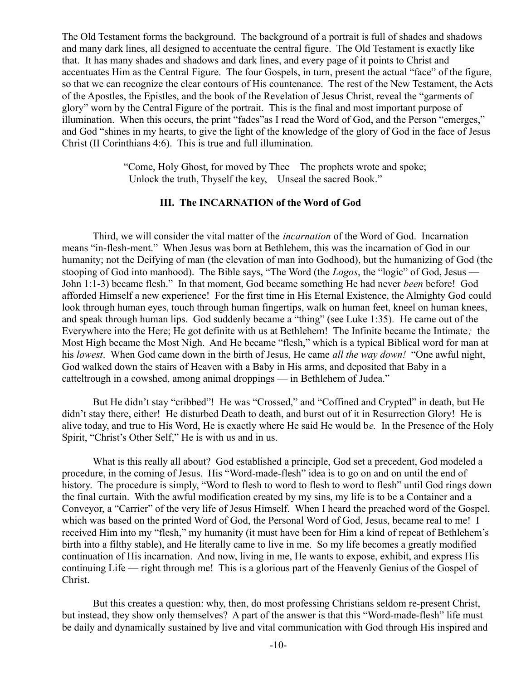The Old Testament forms the background. The background of a portrait is full of shades and shadows and many dark lines, all designed to accentuate the central figure. The Old Testament is exactly like that. It has many shades and shadows and dark lines, and every page of it points to Christ and accentuates Him as the Central Figure. The four Gospels, in turn, present the actual "face" of the figure, so that we can recognize the clear contours of His countenance. The rest of the New Testament, the Acts of the Apostles, the Epistles, and the book of the Revelation of Jesus Christ, reveal the "garments of glory" worn by the Central Figure of the portrait. This is the final and most important purpose of illumination. When this occurs, the print "fades"as I read the Word of God, and the Person "emerges," and God "shines in my hearts, to give the light of the knowledge of the glory of God in the face of Jesus Christ (II Corinthians 4:6). This is true and full illumination.

> "Come, Holy Ghost, for moved by Thee The prophets wrote and spoke; Unlock the truth, Thyself the key, Unseal the sacred Book."

## **III. The INCARNATION of the Word of God**

Third, we will consider the vital matter of the *incarnation* of the Word of God. Incarnation means "in-flesh-ment." When Jesus was born at Bethlehem, this was the incarnation of God in our humanity; not the Deifying of man (the elevation of man into Godhood), but the humanizing of God (the stooping of God into manhood). The Bible says, "The Word (the *Logos*, the "logic" of God, Jesus — John 1:1-3) became flesh."In that moment, God became something He had never *been* before! God afforded Himself a new experience! For the first time in His Eternal Existence, the Almighty God could look through human eyes, touch through human fingertips, walk on human feet, kneel on human knees, and speak through human lips. God suddenly became a "thing" (see Luke 1:35)*.* He came out of the Everywhere into the Here; He got definite with us at Bethlehem! The Infinite became the Intimate*;* the Most High became the Most Nigh. And He became "flesh," which is a typical Biblical word for man at his *lowest*. When God came down in the birth of Jesus, He came *all the way down!* "One awful night, God walked down the stairs of Heaven with a Baby in His arms, and deposited that Baby in a catteltrough in a cowshed, among animal droppings — in Bethlehem of Judea."

But He didn't stay "cribbed"! He was "Crossed," and "Coffined and Crypted" in death, but He didn't stay there, either! He disturbed Death to death, and burst out of it in Resurrection Glory! He is alive today, and true to His Word, He is exactly where He said He would b*e.* In the Presence of the Holy Spirit, "Christ's Other Self," He is with us and in us.

What is this really all about? God established a principle, God set a precedent, God modeled a procedure, in the coming of Jesus. His "Word-made-flesh" idea is to go on and on until the end of history. The procedure is simply, "Word to flesh to word to flesh to word to flesh" until God rings down the final curtain. With the awful modification created by my sins, my life is to be a Container and a Conveyor, a "Carrier" of the very life of Jesus Himself. When I heard the preached word of the Gospel, which was based on the printed Word of God, the Personal Word of God, Jesus, became real to me! I received Him into my "flesh," my humanity (it must have been for Him a kind of repeat of Bethlehem's birth into a filthy stable), and He literally came to live in me. So my life becomes a greatly modified continuation of His incarnation. And now, living in me, He wants to expose, exhibit, and express His continuing Life — right through me! This is a glorious part of the Heavenly Genius of the Gospel of Christ.

But this creates a question: why, then, do most professing Christians seldom re-present Christ, but instead, they show only themselves? A part of the answer is that this "Word-made-flesh" life must be daily and dynamically sustained by live and vital communication with God through His inspired and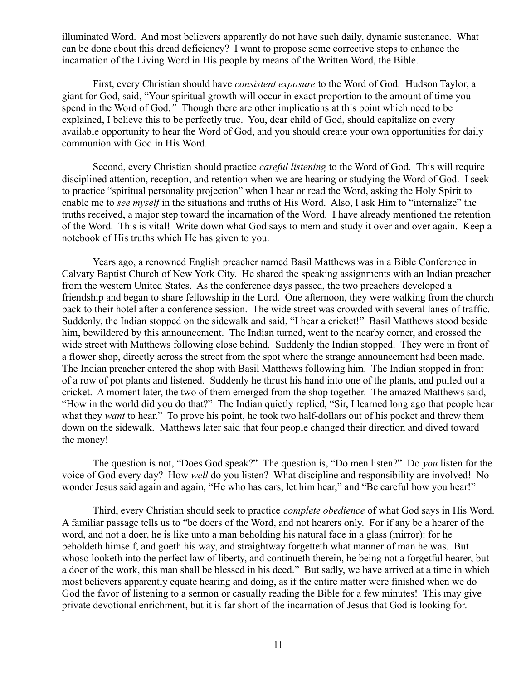illuminated Word. And most believers apparently do not have such daily, dynamic sustenance. What can be done about this dread deficiency? I want to propose some corrective steps to enhance the incarnation of the Living Word in His people by means of the Written Word, the Bible.

First, every Christian should have *consistent exposure* to the Word of God. Hudson Taylor, a giant for God, said, "Your spiritual growth will occur in exact proportion to the amount of time you spend in the Word of God.*"* Though there are other implications at this point which need to be explained, I believe this to be perfectly true. You, dear child of God, should capitalize on every available opportunity to hear the Word of God, and you should create your own opportunities for daily communion with God in His Word.

Second, every Christian should practice *careful listening* to the Word of God. This will require disciplined attention, reception, and retention when we are hearing or studying the Word of God. I seek to practice "spiritual personality projection" when I hear or read the Word, asking the Holy Spirit to enable me to *see myself* in the situations and truths of His Word. Also, I ask Him to "internalize" the truths received, a major step toward the incarnation of the Word. I have already mentioned the retention of the Word. This is vital! Write down what God says to mem and study it over and over again. Keep a notebook of His truths which He has given to you.

Years ago, a renowned English preacher named Basil Matthews was in a Bible Conference in Calvary Baptist Church of New York City. He shared the speaking assignments with an Indian preacher from the western United States. As the conference days passed, the two preachers developed a friendship and began to share fellowship in the Lord. One afternoon, they were walking from the church back to their hotel after a conference session. The wide street was crowded with several lanes of traffic. Suddenly, the Indian stopped on the sidewalk and said, "I hear a cricket!" Basil Matthews stood beside him, bewildered by this announcement. The Indian turned, went to the nearby corner, and crossed the wide street with Matthews following close behind. Suddenly the Indian stopped. They were in front of a flower shop, directly across the street from the spot where the strange announcement had been made. The Indian preacher entered the shop with Basil Matthews following him. The Indian stopped in front of a row of pot plants and listened. Suddenly he thrust his hand into one of the plants, and pulled out a cricket. A moment later, the two of them emerged from the shop together. The amazed Matthews said, "How in the world did you do that?" The Indian quietly replied, "Sir, I learned long ago that people hear what they *want* to hear." To prove his point, he took two half-dollars out of his pocket and threw them down on the sidewalk. Matthews later said that four people changed their direction and dived toward the money!

The question is not, "Does God speak?" The question is, "Do men listen?" Do *you* listen for the voice of God every day? How *well* do you listen? What discipline and responsibility are involved! No wonder Jesus said again and again, "He who has ears, let him hear," and "Be careful how you hear!"

Third, every Christian should seek to practice *complete obedience* of what God says in His Word. A familiar passage tells us to "be doers of the Word, and not hearers only. For if any be a hearer of the word, and not a doer, he is like unto a man beholding his natural face in a glass (mirror): for he beholdeth himself, and goeth his way, and straightway forgetteth what manner of man he was. But whoso looketh into the perfect law of liberty, and continueth therein, he being not a forgetful hearer, but a doer of the work, this man shall be blessed in his deed." But sadly, we have arrived at a time in which most believers apparently equate hearing and doing, as if the entire matter were finished when we do God the favor of listening to a sermon or casually reading the Bible for a few minutes! This may give private devotional enrichment, but it is far short of the incarnation of Jesus that God is looking for.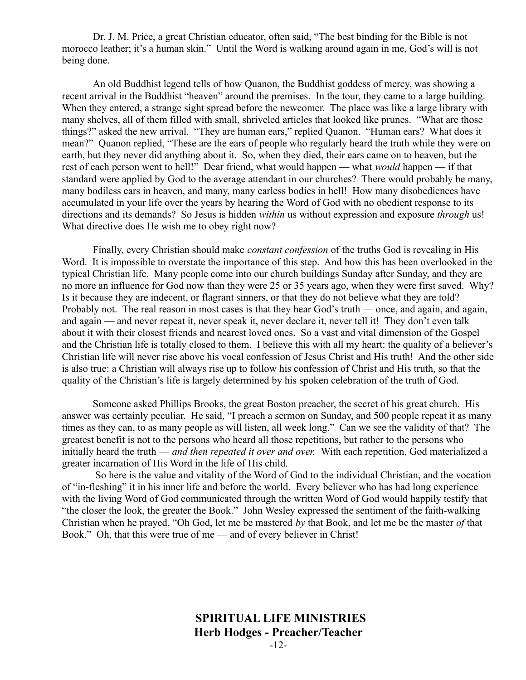Dr. J. M. Price, a great Christian educator, often said, "The best binding for the Bible is not morocco leather; it's a human skin." Until the Word is walking around again in me, God's will is not being done.

An old Buddhist legend tells of how Quanon, the Buddhist goddess of mercy, was showing a recent arrival in the Buddhist "heaven" around the premises. In the tour, they came to a large building. When they entered, a strange sight spread before the newcomer. The place was like a large library with many shelves, all of them filled with small, shriveled articles that looked like prunes. "What are those things?" asked the new arrival. "They are human ears," replied Quanon. "Human ears? What does it mean?" Quanon replied, "These are the ears of people who regularly heard the truth while they were on earth, but they never did anything about it. So, when they died, their ears came on to heaven, but the rest of each person went to hell!" Dear friend, what would happen — what *would* happen — if that standard were applied by God to the average attendant in our churches? There would probably be many, many bodiless ears in heaven, and many, many earless bodies in hell! How many disobediences have accumulated in your life over the years by hearing the Word of God with no obedient response to its directions and its demands? So Jesus is hidden *within* us without expression and exposure *through* us! What directive does He wish me to obey right now?

Finally, every Christian should make *constant confession* of the truths God is revealing in His Word. It is impossible to overstate the importance of this step. And how this has been overlooked in the typical Christian life. Many people come into our church buildings Sunday after Sunday, and they are no more an influence for God now than they were 25 or 35 years ago, when they were first saved. Why? Is it because they are indecent, or flagrant sinners, or that they do not believe what they are told? Probably not. The real reason in most cases is that they hear God's truth — once, and again, and again, and again — and never repeat it, never speak it, never declare it, never tell it! They don't even talk about it with their closest friends and nearest loved ones. So a vast and vital dimension of the Gospel and the Christian life is totally closed to them. I believe this with all my heart: the quality of a believer's Christian life will never rise above his vocal confession of Jesus Christ and His truth! And the other side is also true: a Christian will always rise up to follow his confession of Christ and His truth, so that the quality of the Christian's life is largely determined by his spoken celebration of the truth of God.

Someone asked Phillips Brooks, the great Boston preacher, the secret of his great church. His answer was certainly peculiar. He said, "I preach a sermon on Sunday, and 500 people repeat it as many times as they can, to as many people as will listen, all week long." Can we see the validity of that? The greatest benefit is not to the persons who heard all those repetitions, but rather to the persons who initially heard the truth — *and then repeated it over and over.* With each repetition, God materialized a greater incarnation of His Word in the life of His child.

 So here is the value and vitality of the Word of God to the individual Christian, and the vocation of "in-fleshing" it in his inner life and before the world. Every believer who has had long experience with the living Word of God communicated through the written Word of God would happily testify that "the closer the look, the greater the Book." John Wesley expressed the sentiment of the faith-walking Christian when he prayed, "Oh God, let me be mastered *by* that Book, and let me be the master *of* that Book." Oh, that this were true of me — and of every believer in Christ!